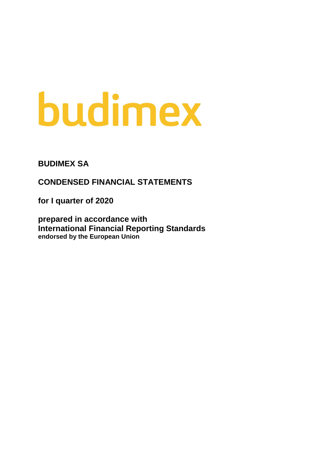# budimex

**BUDIMEX SA**

**CONDENSED FINANCIAL STATEMENTS** 

**for I quarter of 2020**

**prepared in accordance with International Financial Reporting Standards endorsed by the European Union**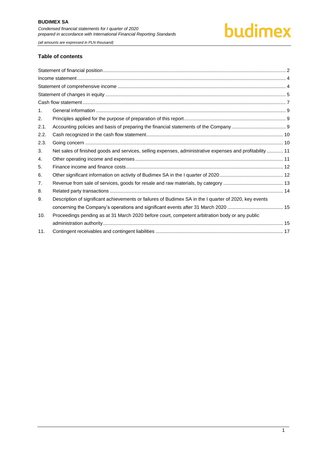#### **Table of contents**

| $\mathbf{1}$ . |                                                                                                           |  |
|----------------|-----------------------------------------------------------------------------------------------------------|--|
| 2.             |                                                                                                           |  |
| 2.1.           |                                                                                                           |  |
| 2.2.           |                                                                                                           |  |
| 2.3.           |                                                                                                           |  |
| 3.             | Net sales of finished goods and services, selling expenses, administrative expenses and profitability  11 |  |
| 4.             |                                                                                                           |  |
| 5.             |                                                                                                           |  |
| 6.             |                                                                                                           |  |
| 7.             |                                                                                                           |  |
| 8.             |                                                                                                           |  |
| 9.             | Description of significant achievements or failures of Budimex SA in the I quarter of 2020, key events    |  |
|                |                                                                                                           |  |
| 10.            | Proceedings pending as at 31 March 2020 before court, competent arbitration body or any public            |  |
|                |                                                                                                           |  |
| 11.            |                                                                                                           |  |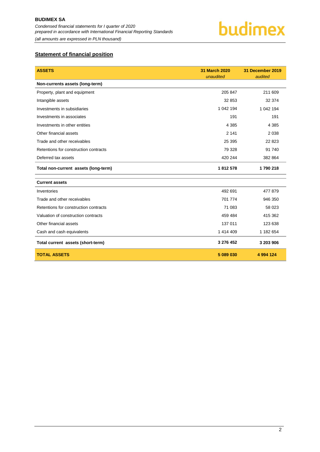

# <span id="page-2-0"></span>**Statement of financial position**

| <b>ASSETS</b>                         | <b>31 March 2020</b><br>unaudited | 31 December 2019<br>audited |
|---------------------------------------|-----------------------------------|-----------------------------|
| Non-currents assets (long-term)       |                                   |                             |
| Property, plant and equipment         | 205 847                           | 211 609                     |
| Intangible assets                     | 32 853                            | 32 374                      |
| Investments in subsidiaries           | 1 042 194                         | 1 042 194                   |
| Investments in associates             | 191                               | 191                         |
| Investments in other entities         | 4 3 8 5                           | 4 3 8 5                     |
| Other financial assets                | 2 1 4 1                           | 2 0 3 8                     |
| Trade and other receivables           | 25 3 95                           | 22 8 23                     |
| Retentions for construction contracts | 79 328                            | 91 740                      |
| Deferred tax assets                   | 420 244                           | 382 864                     |
| Total non-current assets (long-term)  | 1812578                           | 1790218                     |
| <b>Current assets</b>                 |                                   |                             |
| Inventories                           | 492 691                           | 477879                      |
| Trade and other receivables           | 701 774                           | 946 350                     |
| Retentions for construction contracts | 71 083                            | 58 023                      |
| Valuation of construction contracts   | 459 484                           | 415 362                     |
| Other financial assets                | 137 011                           | 123 638                     |
| Cash and cash equivalents             | 1 414 409                         | 1 182 654                   |
| Total current assets (short-term)     | 3 276 452                         | 3 203 906                   |
| <b>TOTAL ASSETS</b>                   | 5 089 030                         | 4 994 124                   |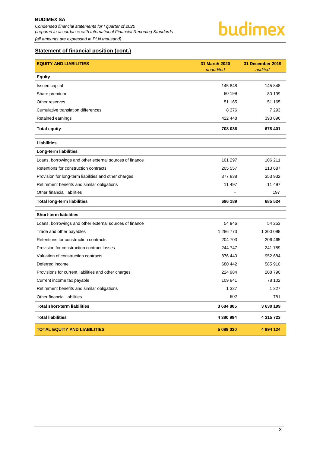*Condensed financial statements for I quarter of 2020 prepared in accordance with International Financial Reporting Standards (all amounts are expressed in PLN thousand)*

budimex

# **Statement of financial position (cont.)**

| <b>EQUITY AND LIABILITIES</b>                           | 31 March 2020<br>unaudited | 31 December 2019<br>audited |
|---------------------------------------------------------|----------------------------|-----------------------------|
| <b>Equity</b>                                           |                            |                             |
| <b>Issued capital</b>                                   | 145 848                    | 145 848                     |
| Share premium                                           | 80 199                     | 80 199                      |
| Other reserves                                          | 51 165                     | 51 165                      |
| Cumulative translation differences                      | 8 3 7 6                    | 7 2 9 3                     |
| Retained earnings                                       | 422 448                    | 393 896                     |
| <b>Total equity</b>                                     | 708 036                    | 678 401                     |
| <b>Liabilities</b>                                      |                            |                             |
| Long-term liabilities                                   |                            |                             |
| Loans, borrowings and other external sources of finance | 101 297                    | 106 211                     |
| Retentions for construction contracts                   | 205 557                    | 213 687                     |
| Provision for long-term liabilities and other charges   | 377838                     | 353 932                     |
| Retirement benefits and similar obligations             | 11 497                     | 11 497                      |
| Other financial liabilities                             | L,                         | 197                         |
| <b>Total long-term liabilities</b>                      | 696 189                    | 685 524                     |
| <b>Short-term liabilities</b>                           |                            |                             |
| Loans, borrowings and other external sources of finance | 54 946                     | 54 253                      |
| Trade and other payables                                | 1 286 773                  | 1 300 098                   |
| Retentions for construction contracts                   | 204 703                    | 206 465                     |
| Provision for construction contract losses              | 244 747                    | 241 789                     |
| Valuation of construction contracts                     | 876 440                    | 952 684                     |
| Deferred income                                         | 680 442                    | 585 910                     |
| Provisions for current liabilities and other charges    | 224 984                    | 208 790                     |
| Current income tax payable                              | 109 841                    | 78 102                      |
| Retirement benefits and similar obligations             | 1 3 2 7                    | 1 3 2 7                     |
| Other financial liabilities                             | 602                        | 781                         |
| <b>Total short-term liabilities</b>                     | 3 684 805                  | 3630199                     |
| <b>Total liabilities</b>                                | 4 380 994                  | 4 315 723                   |
| <b>TOTAL EQUITY AND LIABILITIES</b>                     | 5 089 030                  | 4 994 124                   |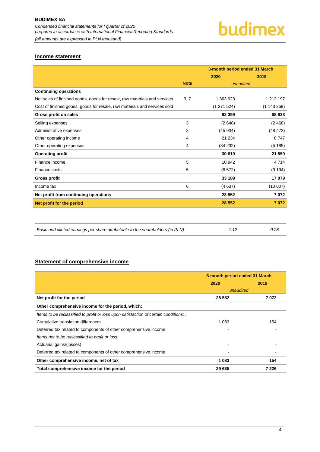# <span id="page-4-0"></span>**Income statement**

|                                                                           |             | 3-month period ended 31 March |           |
|---------------------------------------------------------------------------|-------------|-------------------------------|-----------|
|                                                                           |             | 2020                          | 2019      |
|                                                                           | <b>Note</b> | unaudited                     |           |
| <b>Continuing operations</b>                                              |             |                               |           |
| Net sales of finished goods, goods for resale, raw materials and services | 3, 7        | 1 363 923                     | 1 212 197 |
| Cost of finished goods, goods for resale, raw materials and services sold |             | (1 271 524)                   | (1143259) |
| Gross profit on sales                                                     |             | 92 399                        | 68 938    |
| Selling expenses                                                          | 3           | (2648)                        | (2, 468)  |
| Administrative expenses                                                   | 3           | (45934)                       | (48 473)  |
| Other operating income                                                    | 4           | 21 234                        | 8747      |
| Other operating expenses                                                  | 4           | (34 232)                      | (5185)    |
| <b>Operating profit</b>                                                   |             | 30819                         | 21 559    |
| Finance income                                                            | 5           | 10 942                        | 4 7 1 4   |
| Finance costs                                                             | 5           | (8572)                        | (9194)    |
| <b>Gross profit</b>                                                       |             | 33 189                        | 17 079    |
| Income tax                                                                | 6           | (4637)                        | (10007)   |
| Net profit from continuing operations                                     |             | 28 552                        | 7072      |
| Net profit for the period                                                 |             | 28 552                        | 7072      |
|                                                                           |             |                               |           |
|                                                                           |             |                               |           |

| Basic and diluted earnings per share attributable to the shareholders (in PLN) | 0.28 |
|--------------------------------------------------------------------------------|------|
|                                                                                |      |

# <span id="page-4-1"></span>**Statement of comprehensive income**

|                                                                                       | 3-month period ended 31 March |         |  |
|---------------------------------------------------------------------------------------|-------------------------------|---------|--|
|                                                                                       | 2020                          | 2019    |  |
|                                                                                       | unaudited                     |         |  |
| Net profit for the period                                                             | 28 552                        | 7072    |  |
| Other comprehensive income for the period, which:                                     |                               |         |  |
| Items to be reclassified to profit or loss upon satisfaction of certain conditions: : |                               |         |  |
| Cumulative translation differences                                                    | 1 0 8 3                       | 154     |  |
| Deferred tax related to components of other comprehensive income                      |                               |         |  |
| Items not to be reclassified to profit or loss:                                       |                               |         |  |
| Actuarial gains/(losses)                                                              |                               |         |  |
| Deferred tax related to components of other comprehensive income                      |                               |         |  |
| Other comprehensive income, net of tax                                                | 1 083                         | 154     |  |
| Total comprehensive income for the period                                             | 29 635                        | 7 2 2 6 |  |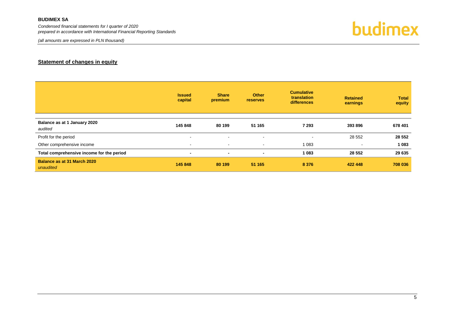#### **BUDIMEX SA**

*Condensed financial statements for I quarter of 2020 prepared in accordance with International Financial Reporting Standards*

*(all amounts are expressed in PLN thousand)*



### **Statement of changes in equity**

<span id="page-5-0"></span>

|                                           | <b>Issued</b><br>capital | <b>Share</b><br>premium  | <b>Other</b><br><b>reserves</b> | <b>Cumulative</b><br>translation<br>differences | <b>Retained</b><br>earnings | <b>Total</b><br>equity |
|-------------------------------------------|--------------------------|--------------------------|---------------------------------|-------------------------------------------------|-----------------------------|------------------------|
|                                           |                          |                          |                                 |                                                 |                             |                        |
| Balance as at 1 January 2020<br>audited   | 145 848                  | 80 199                   | 51 165                          | 7 2 9 3                                         | 393 896                     | 678 401                |
| Profit for the period                     | $\blacksquare$           | $\overline{\phantom{a}}$ | $\overline{\phantom{a}}$        | $\overline{\phantom{a}}$                        | 28 552                      | 28 5 52                |
| Other comprehensive income                | $\sim$                   | $\sim$                   | $\sim$                          | 1 083                                           | $\sim$                      | 1 0 8 3                |
| Total comprehensive income for the period | $\blacksquare$           | $\blacksquare$           | $\blacksquare$                  | 1 0 8 3                                         | 28 5 52                     | 29 635                 |
| Balance as at 31 March 2020<br>unaudited  | 145 848                  | 80 199                   | 51 165                          | 8 3 7 6                                         | 422 448                     | 708 036                |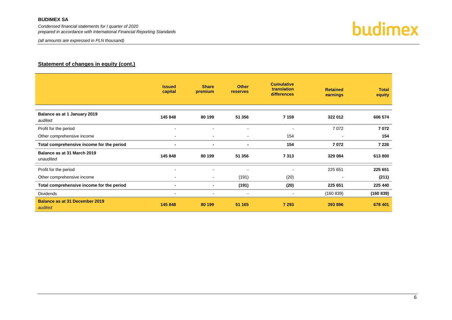#### **BUDIMEX SA**

*Condensed financial statements for I quarter of 2020 prepared in accordance with International Financial Reporting Standards*

*(all amounts are expressed in PLN thousand)*



# **Statement of changes in equity (cont.)**

|                                                  | <b>Issued</b><br>capital | <b>Share</b><br>premium  | <b>Other</b><br>reserves | <b>Cumulative</b><br>translation<br>differences | <b>Retained</b><br>earnings | <b>Total</b><br>equity |
|--------------------------------------------------|--------------------------|--------------------------|--------------------------|-------------------------------------------------|-----------------------------|------------------------|
| Balance as at 1 January 2019<br>audited          | 145 848                  | 80 199                   | 51 356                   | 7 1 5 9                                         | 322 012                     | 606 574                |
| Profit for the period                            | $\sim$                   | $\overline{\phantom{a}}$ | $\blacksquare$           | $\overline{\phantom{a}}$                        | 7072                        | 7072                   |
| Other comprehensive income                       | $\,$                     | $\overline{\phantom{a}}$ | ٠                        | 154                                             | $\overline{\phantom{a}}$    | 154                    |
| Total comprehensive income for the period        | $\blacksquare$           | ٠                        | $\blacksquare$           | 154                                             | 7072                        | 7 2 2 6                |
| Balance as at 31 March 2019<br>unaudited         | 145 848                  | 80 199                   | 51 356                   | 7313                                            | 329 084                     | 613 800                |
| Profit for the period                            | $\,$                     | ٠                        | $\overline{\phantom{0}}$ | $\overline{\phantom{a}}$                        | 225 651                     | 225 651                |
| Other comprehensive income                       | $\sim$                   | $\overline{\phantom{a}}$ | (191)                    | (20)                                            | $\overline{\phantom{a}}$    | (211)                  |
| Total comprehensive income for the period        | $\blacksquare$           | $\blacksquare$           | (191)                    | (20)                                            | 225 651                     | 225 440                |
| <b>Dividends</b>                                 | $\sim$                   | $\blacksquare$           | $\blacksquare$           | $\sim$                                          | (160 839)                   | (160 839)              |
| <b>Balance as at 31 December 2019</b><br>audited | 145 848                  | 80 199                   | 51 165                   | 7 2 9 3                                         | 393 896                     | 678 401                |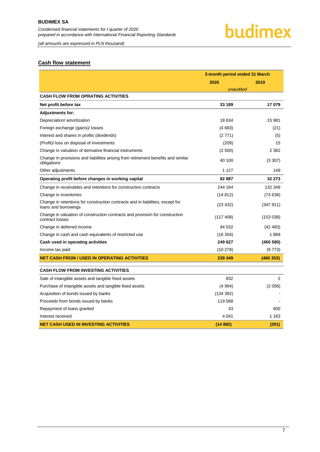<span id="page-7-0"></span>*(all amounts are expressed in PLN thousand)*

# budimex

# **Cash flow statement**

|                                                                                                        | 3-month period ended 31 March |           |  |
|--------------------------------------------------------------------------------------------------------|-------------------------------|-----------|--|
|                                                                                                        | 2020                          | 2019      |  |
|                                                                                                        | unaudited                     |           |  |
| <b>CASH FLOW FROM OPRATING ACTIVITIES</b>                                                              |                               |           |  |
| Net profit before tax                                                                                  | 33 189                        | 17079     |  |
| Adjustments for:                                                                                       |                               |           |  |
| Depreciation/ amortization                                                                             | 18 634                        | 15 981    |  |
| Foreign exchange (gains)/ losses                                                                       | (4683)                        | (21)      |  |
| Interest and shares in profits (dividends)                                                             | (2771)                        | (5)       |  |
| (Profit)/ loss on disposal of investments                                                              | (209)                         | 15        |  |
| Change in valuation of derivative financial instruments                                                | (2500)                        | 2 3 8 2   |  |
| Change in provisions and liabilities arising from retirement benefits and similar<br>obligations       | 40 100                        | (3307)    |  |
| Other adjustments                                                                                      | 1 1 2 7                       | 149       |  |
| Operating profit before changes in working capital                                                     | 82 887                        | 32 273    |  |
| Change in receivables and retentions for construction contracts                                        | 244 164                       | 132 349   |  |
| Change in inventories                                                                                  | (14812)                       | (73638)   |  |
| Change in retentions for construction contracts and in liabilities, except for<br>loans and borrowings | (23 432)                      | (347911)  |  |
| Change in valuation of construction contracts and provision for construction<br>contract losses        | (117 408)                     | (153038)  |  |
| Change in deferred income                                                                              | 94 532                        | (42 483)  |  |
| Change in cash and cash equivalents of restricted use                                                  | (16304)                       | 1868      |  |
| Cash used in operating activities                                                                      | 249 627                       | (450 580) |  |
| Income tax paid                                                                                        | (10278)                       | (9773)    |  |
| NET CASH FROM / USED IN OPERATING ACTIVITIES                                                           | 239 349                       | (460353)  |  |
| <b>CASH FLOW FROM INVESTING ACTIVITIES</b>                                                             |                               |           |  |
| Sale of intangible assets and tangible fixed assets                                                    | 832                           | 2         |  |
| Purchase of intangible assets and tangible fixed assets                                                | (4994)                        | (2056)    |  |
| Acquisition of bonds issued by banks                                                                   | (134 392)                     |           |  |
| Proceeds from bonds issued by banks                                                                    | 119588                        |           |  |
| Repayment of loans granted                                                                             | 43                            | 600       |  |
| Interest received                                                                                      | 4 0 4 1                       | 1 1 6 3   |  |
| <b>NET CASH USED IN INVESTING ACTIVITIES</b>                                                           | (14882)                       | (291)     |  |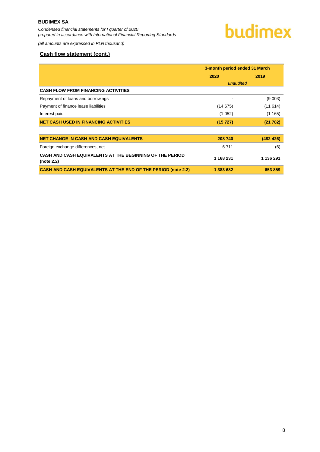*(all amounts are expressed in PLN thousand)*

#### **Cash flow statement (cont.)**

<span id="page-8-0"></span>

|                                                                        | 3-month period ended 31 March |           |
|------------------------------------------------------------------------|-------------------------------|-----------|
|                                                                        | 2020                          | 2019      |
|                                                                        | unaudited                     |           |
| <b>CASH FLOW FROM FINANCING ACTIVITIES</b>                             |                               |           |
| Repayment of loans and borrowings                                      |                               | (9 003)   |
| Payment of finance lease liabilities                                   | (14675)                       | (11614)   |
| Interest paid                                                          | (1052)                        | (1165)    |
| <b>NET CASH USED IN FINANCING ACTIVITIES</b>                           | (15 727)                      | (21782)   |
| <b>NET CHANGE IN CASH AND CASH EQUIVALENTS</b>                         | 208 740                       | (482 426) |
| Foreign exchange differences, net                                      | 6711                          | (6)       |
| CASH AND CASH EQUIVALENTS AT THE BEGINNING OF THE PERIOD<br>(note 2.2) | 1 168 231                     | 1 136 291 |
| <b>CASH AND CASH EQUIVALENTS AT THE END OF THE PERIOD (note 2.2)</b>   | 1 383 682                     | 653 859   |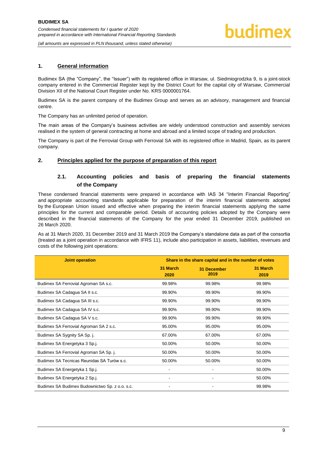*(all amounts are expressed in PLN thousand, unless stated otherwise)*

#### **1. General information**

Budimex SA (the "Company", the "Issuer") with its registered office in Warsaw, ul. Siedmiogrodzka 9, is a joint-stock company entered in the Commercial Register kept by the District Court for the capital city of Warsaw, Commercial Division XII of the National Court Register under No. KRS 0000001764.

Budimex SA is the parent company of the Budimex Group and serves as an advisory, management and financial centre.

The Company has an unlimited period of operation.

The main areas of the Company's business activities are widely understood construction and assembly services realised in the system of general contracting at home and abroad and a limited scope of trading and production.

The Company is part of the Ferrovial Group with Ferrovial SA with its registered office in Madrid, Spain, as its parent company.

#### <span id="page-9-1"></span><span id="page-9-0"></span>**2. Principles applied for the purpose of preparation of this report**

# **2.1. Accounting policies and basis of preparing the financial statements of the Company**

These condensed financial statements were prepared in accordance with IAS 34 "Interim Financial Reporting" and appropriate accounting standards applicable for preparation of the interim financial statements adopted by the European Union issued and effective when preparing the interim financial statements applying the same principles for the current and comparable period. Details of accounting policies adopted by the Company were described in the financial statements of the Company for the year ended 31 December 2019, published on 26 March 2020.

As at 31 March 2020, 31 December 2019 and 31 March 2019 the Company's standalone data as part of the consortia (treated as a joint operation in accordance with IFRS 11), include also participation in assets, liabilities, revenues and costs of the following joint operations:

| <b>Joint operation</b>                         | Share in the share capital and in the number of votes |                     |                  |  |
|------------------------------------------------|-------------------------------------------------------|---------------------|------------------|--|
|                                                | 31 March<br>2020                                      | 31 December<br>2019 | 31 March<br>2019 |  |
| Budimex SA Ferrovial Agroman SA s.c.           | 99.98%                                                | 99.98%              | 99.98%           |  |
| Budimex SA Cadagua SA II s.c.                  | 99.90%                                                | 99.90%              | 99.90%           |  |
| Budimex SA Cadagua SA III s.c.                 | 99.90%                                                | 99.90%              | 99.90%           |  |
| Budimex SA Cadagua SA IV s.c.                  | 99.90%                                                | 99.90%              | 99.90%           |  |
| Budimex SA Cadagua SA V s.c.                   | 99.90%                                                | 99.90%              | 99.90%           |  |
| Budimex SA Ferrovial Agroman SA 2 s.c.         | 95.00%                                                | 95.00%              | 95.00%           |  |
| Budimex SA Sygnity SA Sp. j.                   | 67.00%                                                | 67.00%              | 67.00%           |  |
| Budimex SA Energetyka 3 Sp.j.                  | 50.00%                                                | 50.00%              | 50.00%           |  |
| Budimex SA Ferrovial Agroman SA Sp. j.         | 50.00%                                                | 50.00%              | 50.00%           |  |
| Budimex SA Tecnicas Reunidas SA Turów s.c.     | 50.00%                                                | 50.00%              | 50.00%           |  |
| Budimex SA Energetyka 1 Sp.j.                  |                                                       |                     | 50.00%           |  |
| Budimex SA Energetyka 2 Sp.j.                  | $\overline{\phantom{a}}$                              |                     | 50.00%           |  |
| Budimex SA Budimex Budownictwo Sp. z o.o. s.c. |                                                       |                     | 99.98%           |  |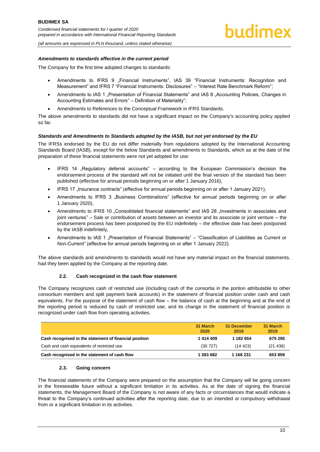*(all amounts are expressed in PLN thousand, unless stated otherwise)*

#### *Amendments to standards effective in the current period*

The Company for the first time adopted changes to standards:

- Amendments to IFRS 9 "Financial Instruments", IAS 39 "Financial Instruments: Recognition and Measurement" and IFRS 7 "Financial Instruments: Disclosures" – "Interest Rate Benchmark Reform";
- Amendments to IAS 1 "Presentation of Financial Statements" and IAS 8 "Accounting Policies, Changes in Accounting Estimates and Errors" – Definition of Materiality";
- Amendments to References to the Conceptual Framework in IFRS Standards.

The above amendments to standards did not have a significant impact on the Company's accounting policy applied so far.

#### *Standards and Amendments to Standards adopted by the IASB, but not yet endorsed by the EU*

The IFRSs endorsed by the EU do not differ materially from regulations adopted by the International Accounting Standards Board (IASB), except for the below Standards and amendments to Standards, which as at the date of the preparation of these financial statements were not yet adopted for use:

- IFRS 14 "Regulatory deferral accounts" according to the European Commission's decision the endorsement process of the standard will not be initiated until the final version of the standard has been published (effective for annual periods beginning on or after 1 January 2016),
- IFRS 17 "Insurance contracts" (effective for annual periods beginning on or after 1 January 2021),
- Amendments to IFRS 3 "Business Combinations" (effective for annual periods beginning on or after 1 January 2020),
- Amendments to IFRS 10 "Consolidated financial statements" and IAS 28 "Investments in associates and joint ventures" – Sale or contribution of assets between an investor and its associate or joint venture – the endorsement process has been postponed by the EU indefinitely – the effective date has been postponed by the IASB indefinitely,
- Amendments to IAS 1 "Presentation of Financial Statements" "Classification of Liabilities as Current or Non-Current" (effective for annual periods beginning on or after 1 January 2022).

The above standards and amendments to standards would not have any material impact on the financial statements, had they been applied by the Company at the reporting date.

#### **2.2. Cash recognized in the cash flow statement**

<span id="page-10-0"></span>The Company recognizes cash of restricted use (including cash of the consortia in the portion attributable to other consortium members and split payment bank accounts) in the statement of financial position under cash and cash equivalents. For the purpose of the statement of cash flow – the balance of cash at the beginning and at the end of the reporting period is reduced by cash of restricted use, and its change in the statement of financial position is recognized under cash flow from operating activities.

|                                                        | 31 March<br>2020 | 31 December<br>2019 | 31 March<br>2019 |
|--------------------------------------------------------|------------------|---------------------|------------------|
| Cash recognised in the statement of financial position | 1414409          | 1 182 654           | 675 295          |
| Cash and cash equivalents of restricted use            | (30727)          | (14.423)            | (21436)          |
| Cash recognised in the statement of cash flow          | 1 383 682        | 1 168 231           | 653859           |

#### **2.3. Going concern**

<span id="page-10-1"></span>The financial statements of the Company were prepared on the assumption that the Company will be going concern in the foreseeable future without a significant limitation in its activities. As at the date of signing the financial statements, the Management Board of the Company is not aware of any facts or circumstances that would indicate a threat to the Company's continued activities after the reporting date, due to an intended or compulsory withdrawal from or a significant limitation in its activities.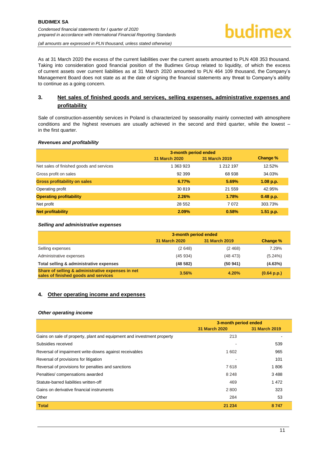

*(all amounts are expressed in PLN thousand, unless stated otherwise)*

As at 31 March 2020 the excess of the current liabilities over the current assets amounted to PLN 408 353 thousand. Taking into consideration good financial position of the Budimex Group related to liquidity, of which the excess of current assets over current liabilities as at 31 March 2020 amounted to PLN 464 109 thousand, the Company's Management Board does not state as at the date of signing the financial statements any threat to Company's ability to continue as a going concern.

# <span id="page-11-0"></span>**3. Net sales of finished goods and services, selling expenses, administrative expenses and profitability**

Sale of construction-assembly services in Poland is characterized by seasonality mainly connected with atmosphere conditions and the highest revenues are usually achieved in the second and third quarter, while the lowest – in the first quarter.

#### *Revenues and profitability*

|                                          | 3-month period ended |               |             |
|------------------------------------------|----------------------|---------------|-------------|
|                                          | <b>31 March 2020</b> | 31 March 2019 | Change %    |
| Net sales of finished goods and services | 1 363 923            | 1 212 197     | 12.52%      |
| Gross profit on sales                    | 92 399               | 68 938        | 34.03%      |
| <b>Gross profitability on sales</b>      | 6.77%                | 5.69%         | 1.08 p.p.   |
| Operating profit                         | 30819                | 21 559        | 42.95%      |
| <b>Operating profitability</b>           | 2.26%                | 1.78%         | $0.48$ p.p. |
| Net profit                               | 28 5 52              | 7072          | 303.73%     |
| <b>Net profitability</b>                 | 2.09%                | 0.58%         | 1.51 p.p.   |

#### *Selling and administrative expenses*

|                                                                                           | 3-month period ended |               |             |
|-------------------------------------------------------------------------------------------|----------------------|---------------|-------------|
|                                                                                           | <b>31 March 2020</b> | 31 March 2019 | Change %    |
| Selling expenses                                                                          | (2648)               | (2, 468)      | 7.29%       |
| Administrative expenses                                                                   | (45934)              | (48473)       | $(5.24\%)$  |
| Total selling & administrative expenses                                                   | (48582)              | (50941)       | $(4.63\%)$  |
| Share of selling & administrative expenses in net<br>sales of finished goods and services | 3.56%                | 4.20%         | (0.64 p.p.) |

#### <span id="page-11-1"></span>**4. Other operating income and expenses**

#### *Other operating income*

|                                                                        | 3-month period ended |               |
|------------------------------------------------------------------------|----------------------|---------------|
|                                                                        | <b>31 March 2020</b> | 31 March 2019 |
| Gains on sale of property, plant and equipment and investment property | 213                  |               |
| Subsidies received                                                     |                      | 539           |
| Reversal of impairment write-downs against receivables                 | 1 602                | 965           |
| Reversal of provisions for litigation                                  |                      | 101           |
| Reversal of provisions for penalties and sanctions                     | 7618                 | 1806          |
| Penalties/ compensations awarded                                       | 8 2 4 8              | 3488          |
| Statute-barred liabilities written-off                                 | 469                  | 1472          |
| Gains on derivative financial instruments                              | 2 800                | 323           |
| Other                                                                  | 284                  | 53            |
| <b>Total</b>                                                           | 21 234               | 8747          |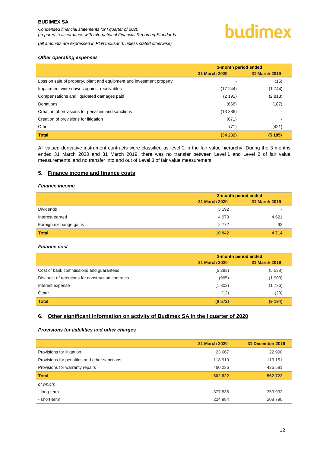*(all amounts are expressed in PLN thousand, unless stated otherwise)*

#### *Other operating expenses*

|                                                                       | 3-month period ended |               |
|-----------------------------------------------------------------------|----------------------|---------------|
|                                                                       | <b>31 March 2020</b> | 31 March 2019 |
| Loss on sale of property, plant and equipment and investment property |                      | (15)          |
| Impairment write-downs against receivables                            | (17244)              | (1744)        |
| Compensations and liquidated damages paid                             | (2 192)              | (2818)        |
| Donations                                                             | (668)                | (187)         |
| Creation of provisions for penalties and sanctions                    | (13 386)             |               |
| Creation of provisions for litigation                                 | (671)                |               |
| Other                                                                 | (71)                 | (421)         |
| <b>Total</b>                                                          | (34232)              | (5185)        |

All valued derivative instrument contracts were classified as level 2 in the fair value hierarchy. During the 3 months ended 31 March 2020 and 31 March 2019, there was no transfer between Level 1 and Level 2 of fair value measurements, and no transfer into and out of Level 3 of fair value measurement.

#### <span id="page-12-0"></span>**5. Finance income and finance costs**

#### *Finance income*

|                        | 3-month period ended |               |
|------------------------|----------------------|---------------|
|                        | 31 March 2020        | 31 March 2019 |
| <b>Dividends</b>       | 3 1 9 2              |               |
| Interest earned        | 4978                 | 4 6 21        |
| Foreign exchange gains | 2 7 7 2              | 93            |
| <b>Total</b>           | 10 942               | 4 7 1 4       |

#### *Finance cost*

|                                                   | 3-month period ended |               |
|---------------------------------------------------|----------------------|---------------|
|                                                   | <b>31 March 2020</b> | 31 March 2019 |
| Cost of bank commissions and guarantees           | (6293)               | (5538)        |
| Discount of retentions for construction contracts | (965)                | (1900)        |
| Interest expense                                  | (1302)               | (1736)        |
| Other                                             | (12)                 | (20)          |
| <b>Total</b>                                      | (8572)               | (9 194)       |

#### <span id="page-12-1"></span>**6. Other significant information on activity of Budimex SA in the I quarter of 2020**

#### *Provisions for liabilities and other charges*

|                                              | <b>31 March 2020</b> | 31 December 2019 |
|----------------------------------------------|----------------------|------------------|
| Provisions for litigation                    | 23 667               | 22 990           |
| Provisions for penalties and other sanctions | 118 919              | 113 151          |
| Provisions for warranty repairs              | 460 236              | 426 581          |
| <b>Total</b>                                 | 602 822              | 562722           |
| of which:                                    |                      |                  |
| - long-term                                  | 377 838              | 353 932          |
| - short-term                                 | 224 984              | 208 790          |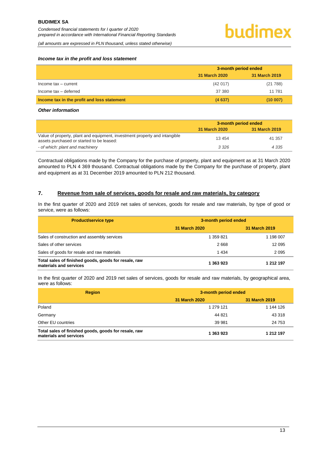*(all amounts are expressed in PLN thousand, unless stated otherwise)*

#### *Income tax in the profit and loss statement*

|                                             | 3-month period ended |               |
|---------------------------------------------|----------------------|---------------|
|                                             | 31 March 2020        | 31 March 2019 |
| Income tax - current                        | (42017)              | (21788)       |
| Income tax - deferred                       | 37 380               | 11 781        |
| Income tax in the profit and loss statement | (4637)               | (10007)       |

#### *Other information*

|                                                                                                                         | 3-month period ended |               |
|-------------------------------------------------------------------------------------------------------------------------|----------------------|---------------|
|                                                                                                                         | 31 March 2020        | 31 March 2019 |
| Value of property, plant and equipment, investment property and intangible<br>assets purchased or started to be leased: | 13 4 54              | 41 357        |
| - of which: plant and machinery                                                                                         | 3 3 2 6              | 4 3 3 5       |

Contractual obligations made by the Company for the purchase of property, plant and equipment as at 31 March 2020 amounted to PLN 4 369 thousand. Contractual obligations made by the Company for the purchase of property, plant and equipment as at 31 December 2019 amounted to PLN 212 thousand.

#### <span id="page-13-0"></span>**7. Revenue from sale of services, goods for resale and raw materials, by category**

In the first quarter of 2020 and 2019 net sales of services, goods for resale and raw materials, by type of good or service, were as follows:

| <b>Product/service type</b>                                                    | 3-month period ended |               |
|--------------------------------------------------------------------------------|----------------------|---------------|
|                                                                                | <b>31 March 2020</b> | 31 March 2019 |
| Sales of construction and assembly services                                    | 1 359 821            | 1 198 007     |
| Sales of other services                                                        | 2668                 | 12 0 95       |
| Sales of goods for resale and raw materials                                    | 1434                 | 2 0 9 5       |
| Total sales of finished goods, goods for resale, raw<br>materials and services | 1 363 923            | 1 212 197     |

In the first quarter of 2020 and 2019 net sales of services, goods for resale and raw materials, by geographical area, were as follows:

| <b>Region</b>                                                                  | 3-month period ended |               |
|--------------------------------------------------------------------------------|----------------------|---------------|
|                                                                                | <b>31 March 2020</b> | 31 March 2019 |
| Poland                                                                         | 1 279 121            | 1 144 126     |
| Germany                                                                        | 44 821               | 43 318        |
| Other EU countries                                                             | 39 981               | 24 753        |
| Total sales of finished goods, goods for resale, raw<br>materials and services | 1 363 923            | 1 212 197     |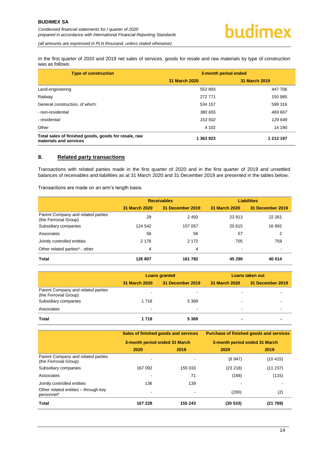*(all amounts are expressed in PLN thousand, unless stated otherwise)*

In the first quarter of 2020 and 2019 net sales of services, goods for resale and raw materials by type of construction was as follows:

| <b>Type of construction</b>                                                    | 3-month period ended |               |
|--------------------------------------------------------------------------------|----------------------|---------------|
|                                                                                | 31 March 2020        | 31 March 2019 |
| Land-engineering                                                               | 552 893              | 447 706       |
| Railway                                                                        | 272 771              | 150 985       |
| General construction, of which:                                                | 534 157              | 599 316       |
| - non-residential                                                              | 380 655              | 469 667       |
| - residential                                                                  | 153 502              | 129 649       |
| Other                                                                          | 4 10 2               | 14 190        |
| Total sales of finished goods, goods for resale, raw<br>materials and services | 1 363 923            | 1 212 197     |

#### <span id="page-14-0"></span>**8. Related party transactions**

Transactions with related parties made in the first quarter of 2020 and in the first quarter of 2019 and unsettled balances of receivables and liabilities as at 31 March 2020 and 31 December 2019 are presented in the tables below.

Transactions are made on an arm's length basis.

|                                                             | <b>Receivables</b> |                  | <b>Liabilities</b> |                  |
|-------------------------------------------------------------|--------------------|------------------|--------------------|------------------|
|                                                             | 31 March 2020      | 31 December 2019 | 31 March 2020      | 31 December 2019 |
| Parent Company and related parties<br>(the Ferrovial Group) | 29                 | 2493             | 23 913             | 22 261           |
| Subsidiary companies                                        | 124 542            | 157 057          | 20 615             | 16 992           |
| Associates                                                  | 56                 | 56               | 57                 | 2                |
| Jointly controlled entities                                 | 2 1 7 6            | 2 1 7 2          | 705                | 759              |
| Other related parties* - other                              | 4                  | 4                | ٠                  | $\,$             |
| <b>Total</b>                                                | 126 807            | 161 782          | 45 290             | 40 014           |

|                                                             | <b>Loans granted</b> |                  | Loans taken out |                  |
|-------------------------------------------------------------|----------------------|------------------|-----------------|------------------|
|                                                             | <b>31 March 2020</b> | 31 December 2019 | 31 March 2020   | 31 December 2019 |
| Parent Company and related parties<br>(the Ferrovial Group) | -                    |                  |                 |                  |
| Subsidiary companies                                        | 1718                 | 5 3 6 9          |                 |                  |
| Associates                                                  | $\blacksquare$       | -                |                 |                  |
| Total                                                       | 1 718                | 5 3 6 9          |                 |                  |

|                                                             | Sales of finished goods and services<br>3-month period ended 31 March |         | <b>Purchase of finished goods and services</b><br>3-month period ended 31 March |          |
|-------------------------------------------------------------|-----------------------------------------------------------------------|---------|---------------------------------------------------------------------------------|----------|
|                                                             |                                                                       |         |                                                                                 |          |
|                                                             | 2020                                                                  | 2019    | 2020                                                                            | 2019     |
| Parent Company and related parties<br>(the Ferrovial Group) |                                                                       |         | (6947)                                                                          | (10415)  |
| Subsidiary companies                                        | 167 092                                                               | 155 033 | (23 218)                                                                        | (11 237) |
| Associates                                                  |                                                                       | 71      | (168)                                                                           | (115)    |
| Jointly controlled entities                                 | 136                                                                   | 139     |                                                                                 |          |
| Other related entities - through key<br>personnel*          |                                                                       |         | (200)                                                                           | (2)      |
| Total                                                       | 167 228                                                               | 155 243 | (30 533)                                                                        | (21 769) |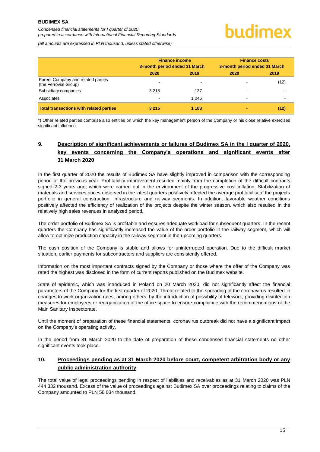*(all amounts are expressed in PLN thousand, unless stated otherwise)*

|                                                             | <b>Finance income</b><br>3-month period ended 31 March |         | <b>Finance costs</b><br>3-month period ended 31 March |      |
|-------------------------------------------------------------|--------------------------------------------------------|---------|-------------------------------------------------------|------|
|                                                             | 2020                                                   | 2019    | 2020                                                  | 2019 |
| Parent Company and related parties<br>(the Ferrovial Group) | $\overline{\phantom{0}}$                               |         |                                                       | (12) |
| Subsidiary companies                                        | 3 2 1 5                                                | 137     |                                                       |      |
| Associates                                                  | $\overline{\phantom{0}}$                               | 1 0 4 6 | -                                                     |      |
| <b>Total transactions with related parties</b>              | 3 2 1 5                                                | 1 1 8 3 |                                                       | (12) |

\*) Other related parties comprise also entities on which the key management person of the Company or his close relative exercises significant influence.

# <span id="page-15-0"></span>**9. Description of significant achievements or failures of Budimex SA in the I quarter of 2020, key events concerning the Company's operations and significant events after 31 March 2020**

In the first quarter of 2020 the results of Budimex SA have slightly improved in comparison with the corresponding period of the previous year. Profitability improvement resulted mainly from the completion of the difficult contracts signed 2-3 years ago, which were carried out in the environment of the progressive cost inflation. Stabilization of materials and services prices observed in the latest quarters positively affected the average profitability of the projects portfolio in general construction, infrastructure and railway segments. In addition, favorable weather conditions positively affected the efficiency of realization of the projects despite the winter season, which also resulted in the relatively high sales revenues in analyzed period.

The order portfolio of Budimex SA is profitable and ensures adequate workload for subsequent quarters. In the recent quarters the Company has significantly increased the value of the order portfolio in the railway segment, which will allow to optimize production capacity in the railway segment in the upcoming quarters.

The cash position of the Company is stable and allows for uninterrupted operation. Due to the difficult market situation, earlier payments for subcontractors and suppliers are consistently offered.

Information on the most important contracts signed by the Company or those where the offer of the Company was rated the highest was disclosed in the form of current reports published on the Budimex website.

State of epidemic, which was introduced in Poland on 20 March 2020, did not significantly affect the financial parameters of the Company for the first quarter of 2020. Threat related to the spreading of the coronavirus resulted in changes to work organization rules, among others, by the introduction of possibility of telework, providing disinfection measures for employees or reorganization of the office space to ensure compliance with the recommendations of the Main Sanitary Inspectorate.

Until the moment of preparation of these financial statements, coronavirus outbreak did not have a significant impact on the Company's operating activity.

In the period from 31 March 2020 to the date of preparation of these condensed financial statements no other significant events took place.

# <span id="page-15-1"></span>**10. Proceedings pending as at 31 March 2020 before court, competent arbitration body or any public administration authority**

The total value of legal proceedings pending in respect of liabilities and receivables as at 31 March 2020 was PLN 444 332 thousand. Excess of the value of proceedings against Budimex SA over proceedings relating to claims of the Company amounted to PLN 58 034 thousand.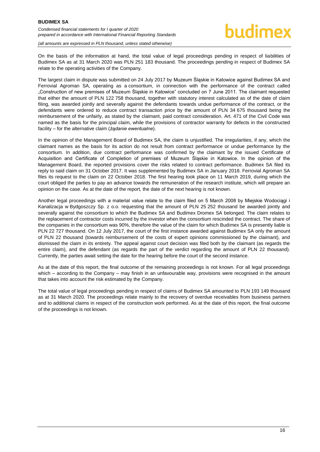#### **BUDIMEX SA**

*Condensed financial statements for I quarter of 2020 prepared in accordance with International Financial Reporting Standards*



*(all amounts are expressed in PLN thousand, unless stated otherwise)*

On the basis of the information at hand, the total value of legal proceedings pending in respect of liabilities of Budimex SA as at 31 March 2020 was PLN 251 183 thousand. The proceedings pending in respect of Budimex SA relate to the operating activities of the Company.

The largest claim in dispute was submitted on 24 July 2017 by Muzeum Śląskie in Katowice against Budimex SA and Ferrovial Agroman SA, operating as a consortium, in connection with the performance of the contract called "Construction of new premises of Muzeum Śląskie in Katowice" concluded on 7 June 2011. The claimant requested that either the amount of PLN 122 758 thousand, together with statutory interest calculated as of the date of claim filing, was awarded jointly and severally against the defendants towards undue performance of the contract, or the defendants were ordered to reduce contract transaction price by the amount of PLN 34 675 thousand being the reimbursement of the unfairly, as stated by the claimant, paid contract consideration. Art. 471 of the Civil Code was named as the basis for the principal claim, while the provisions of contractor warranty for defects in the constructed facility – for the alternative claim (*żądanie ewentualne*).

In the opinion of the Management Board of Budimex SA, the claim is unjustified. The irregularities, if any, which the claimant names as the basis for its action do not result from contract performance or undue performance by the consortium. In addition, due contract performance was confirmed by the claimant by the issued Certificate of Acquisition and Certificate of Completion of premises of Muzeum Śląskie in Katowice. In the opinion of the Management Board, the reported provisions cover the risks related to contract performance. Budimex SA filed its reply to said claim on 31 October 2017. It was supplemented by Budimex SA in January 2018. Ferrovial Agroman SA files its request to the claim on 22 October 2018. The first hearing took place on 11 March 2019, during which the court obliged the parties to pay an advance towards the remuneration of the research institute, which will prepare an opinion on the case. As at the date of the report, the date of the next hearing is not known.

Another legal proceedings with a material value relate to the claim filed on 5 March 2008 by Miejskie Wodociągi i Kanalizacja w Bydgoszczy Sp. z o.o. requesting that the amount of PLN 25 252 thousand be awarded jointly and severally against the consortium to which the Budimex SA and Budimex Dromex SA belonged. The claim relates to the replacement of contractor costs incurred by the investor when the consortium rescinded the contract. The share of the companies in the consortium was 90%, therefore the value of the claim for which Budimex SA is presently liable is PLN 22 727 thousand. On 12 July 2017, the court of the first instance awarded against Budimex SA only the amount of PLN 22 thousand (towards reimbursement of the costs of expert opinions commissioned by the claimant), and dismissed the claim in its entirety. The appeal against court decision was filed both by the claimant (as regards the entire claim), and the defendant (as regards the part of the verdict regarding the amount of PLN 22 thousand). Currently, the parties await setting the date for the hearing before the court of the second instance.

As at the date of this report, the final outcome of the remaining proceedings is not known. For all legal proceedings which – according to the Company – may finish in an unfavourable way, provisions were recognised in the amount that takes into account the risk estimated by the Company.

<span id="page-16-0"></span>The total value of legal proceedings pending in respect of claims of Budimex SA amounted to PLN 193 149 thousand as at 31 March 2020. The proceedings relate mainly to the recovery of overdue receivables from business partners and to additional claims in respect of the construction work performed. As at the date of this report, the final outcome of the proceedings is not known.